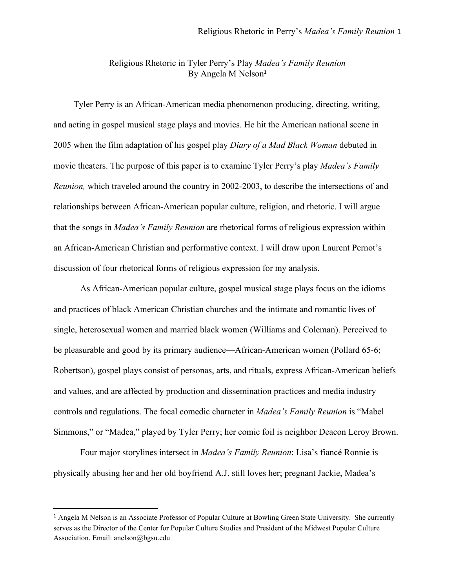## Religious Rhetoric in Tyler Perry's Play *Madea's Family Reunion* By Angela M Nelson 1

Tyler Perry is an African-American media phenomenon producing, directing, writing, and acting in gospel musical stage plays and movies. He hit the American national scene in 2005 when the film adaptation of his gospel play *Diary of a Mad Black Woman* debuted in movie theaters. The purpose of this paper is to examine Tyler Perry's play *Madea's Family Reunion,* which traveled around the country in 2002-2003, to describe the intersections of and relationships between African-American popular culture, religion, and rhetoric. I will argue that the songs in *Madea's Family Reunion* are rhetorical forms of religious expression within an African-American Christian and performative context. I will draw upon Laurent Pernot's discussion of four rhetorical forms of religious expression for my analysis.

As African-American popular culture, gospel musical stage plays focus on the idioms and practices of black American Christian churches and the intimate and romantic lives of single, heterosexual women and married black women (Williams and Coleman). Perceived to be pleasurable and good by its primary audience—African-American women (Pollard 65-6; Robertson), gospel plays consist of personas, arts, and rituals, express African-American beliefs and values, and are affected by production and dissemination practices and media industry controls and regulations. The focal comedic character in *Madea's Family Reunion* is "Mabel Simmons," or "Madea," played by Tyler Perry; her comic foil is neighbor Deacon Leroy Brown.

Four major storylines intersect in *Madea's Family Reunion*: Lisa's fiancé Ronnie is physically abusing her and her old boyfriend A.J. still loves her; pregnant Jackie, Madea's

<sup>1</sup> Angela M Nelson is an Associate Professor of Popular Culture at Bowling Green State University. She currently serves as the Director of the Center for Popular Culture Studies and President of the Midwest Popular Culture Association. Email: anelson@bgsu.edu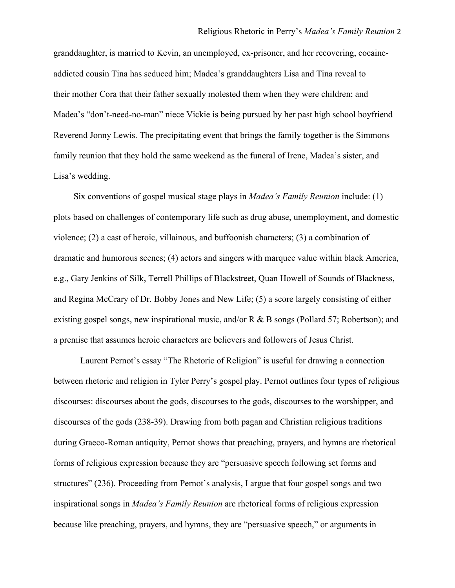granddaughter, is married to Kevin, an unemployed, ex-prisoner, and her recovering, cocaineaddicted cousin Tina has seduced him; Madea's granddaughters Lisa and Tina reveal to their mother Cora that their father sexually molested them when they were children; and Madea's "don't-need-no-man" niece Vickie is being pursued by her past high school boyfriend Reverend Jonny Lewis. The precipitating event that brings the family together is the Simmons family reunion that they hold the same weekend as the funeral of Irene, Madea's sister, and Lisa's wedding.

Six conventions of gospel musical stage plays in *Madea's Family Reunion* include: (1) plots based on challenges of contemporary life such as drug abuse, unemployment, and domestic violence; (2) a cast of heroic, villainous, and buffoonish characters; (3) a combination of dramatic and humorous scenes; (4) actors and singers with marquee value within black America, e.g., Gary Jenkins of Silk, Terrell Phillips of Blackstreet, Quan Howell of Sounds of Blackness, and Regina McCrary of Dr. Bobby Jones and New Life; (5) a score largely consisting of either existing gospel songs, new inspirational music, and/or R  $\&$  B songs (Pollard 57; Robertson); and a premise that assumes heroic characters are believers and followers of Jesus Christ.

Laurent Pernot's essay "The Rhetoric of Religion" is useful for drawing a connection between rhetoric and religion in Tyler Perry's gospel play. Pernot outlines four types of religious discourses: discourses about the gods, discourses to the gods, discourses to the worshipper, and discourses of the gods (238-39). Drawing from both pagan and Christian religious traditions during Graeco-Roman antiquity, Pernot shows that preaching, prayers, and hymns are rhetorical forms of religious expression because they are "persuasive speech following set forms and structures" (236). Proceeding from Pernot's analysis, I argue that four gospel songs and two inspirational songs in *Madea's Family Reunion* are rhetorical forms of religious expression because like preaching, prayers, and hymns, they are "persuasive speech," or arguments in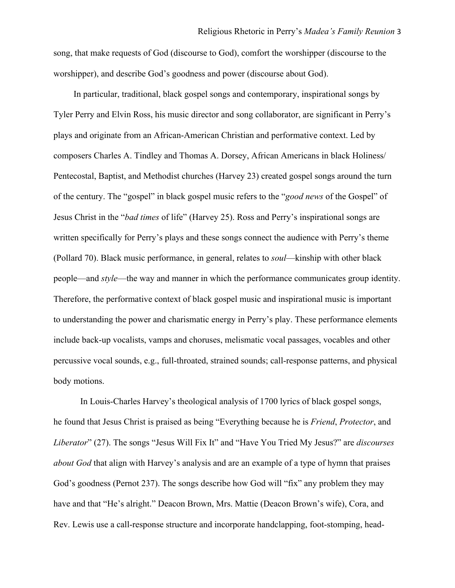song, that make requests of God (discourse to God), comfort the worshipper (discourse to the worshipper), and describe God's goodness and power (discourse about God).

In particular, traditional, black gospel songs and contemporary, inspirational songs by Tyler Perry and Elvin Ross, his music director and song collaborator, are significant in Perry's plays and originate from an African-American Christian and performative context. Led by composers Charles A. Tindley and Thomas A. Dorsey, African Americans in black Holiness/ Pentecostal, Baptist, and Methodist churches (Harvey 23) created gospel songs around the turn of the century. The "gospel" in black gospel music refers to the "*good news* of the Gospel" of Jesus Christ in the "*bad times* of life" (Harvey 25). Ross and Perry's inspirational songs are written specifically for Perry's plays and these songs connect the audience with Perry's theme (Pollard 70). Black music performance, in general, relates to *soul*—kinship with other black people—and *style*—the way and manner in which the performance communicates group identity. Therefore, the performative context of black gospel music and inspirational music is important to understanding the power and charismatic energy in Perry's play. These performance elements include back-up vocalists, vamps and choruses, melismatic vocal passages, vocables and other percussive vocal sounds, e.g., full-throated, strained sounds; call-response patterns, and physical body motions.

In Louis-Charles Harvey's theological analysis of 1700 lyrics of black gospel songs, he found that Jesus Christ is praised as being "Everything because he is *Friend*, *Protector*, and *Liberator*" (27). The songs "Jesus Will Fix It" and "Have You Tried My Jesus?" are *discourses about God* that align with Harvey's analysis and are an example of a type of hymn that praises God's goodness (Pernot 237). The songs describe how God will "fix" any problem they may have and that "He's alright." Deacon Brown, Mrs. Mattie (Deacon Brown's wife), Cora, and Rev. Lewis use a call-response structure and incorporate handclapping, foot-stomping, head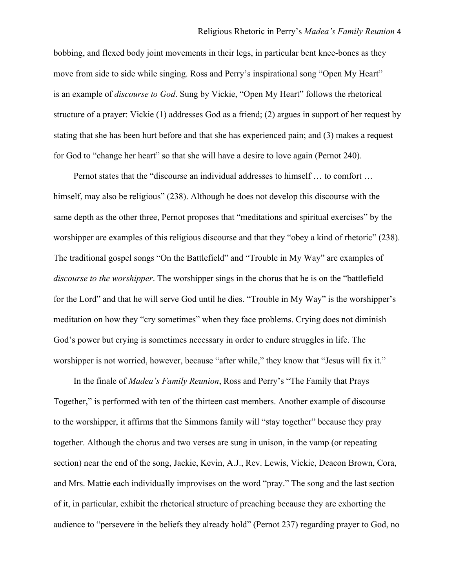bobbing, and flexed body joint movements in their legs, in particular bent knee-bones as they move from side to side while singing. Ross and Perry's inspirational song "Open My Heart" is an example of *discourse to God*. Sung by Vickie, "Open My Heart" follows the rhetorical structure of a prayer: Vickie (1) addresses God as a friend; (2) argues in support of her request by stating that she has been hurt before and that she has experienced pain; and (3) makes a request for God to "change her heart" so that she will have a desire to love again (Pernot 240).

Pernot states that the "discourse an individual addresses to himself … to comfort … himself, may also be religious" (238). Although he does not develop this discourse with the same depth as the other three, Pernot proposes that "meditations and spiritual exercises" by the worshipper are examples of this religious discourse and that they "obey a kind of rhetoric" (238). The traditional gospel songs "On the Battlefield" and "Trouble in My Way" are examples of *discourse to the worshipper*. The worshipper sings in the chorus that he is on the "battlefield for the Lord" and that he will serve God until he dies. "Trouble in My Way" is the worshipper's meditation on how they "cry sometimes" when they face problems. Crying does not diminish God's power but crying is sometimes necessary in order to endure struggles in life. The worshipper is not worried, however, because "after while," they know that "Jesus will fix it."

In the finale of *Madea's Family Reunion*, Ross and Perry's "The Family that Prays Together," is performed with ten of the thirteen cast members. Another example of discourse to the worshipper, it affirms that the Simmons family will "stay together" because they pray together. Although the chorus and two verses are sung in unison, in the vamp (or repeating section) near the end of the song, Jackie, Kevin, A.J., Rev. Lewis, Vickie, Deacon Brown, Cora, and Mrs. Mattie each individually improvises on the word "pray." The song and the last section of it, in particular, exhibit the rhetorical structure of preaching because they are exhorting the audience to "persevere in the beliefs they already hold" (Pernot 237) regarding prayer to God, no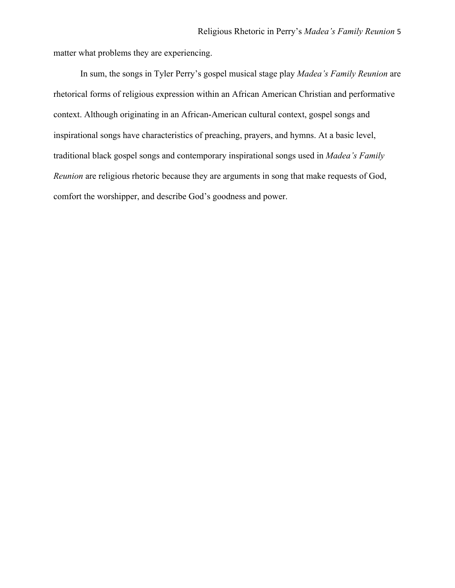matter what problems they are experiencing.

In sum, the songs in Tyler Perry's gospel musical stage play *Madea's Family Reunion* are rhetorical forms of religious expression within an African American Christian and performative context. Although originating in an African-American cultural context, gospel songs and inspirational songs have characteristics of preaching, prayers, and hymns. At a basic level, traditional black gospel songs and contemporary inspirational songs used in *Madea's Family Reunion* are religious rhetoric because they are arguments in song that make requests of God, comfort the worshipper, and describe God's goodness and power.